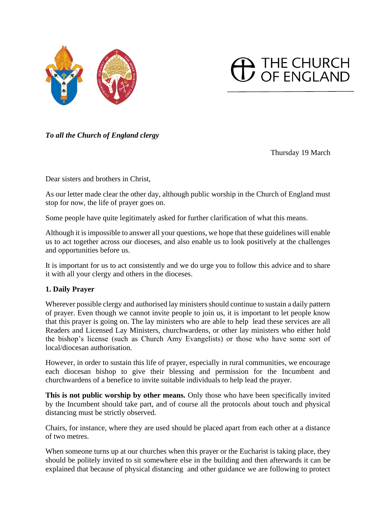



*To all the Church of England clergy*

Thursday 19 March

Dear sisters and brothers in Christ,

As our letter made clear the other day, although public worship in the Church of England must stop for now, the life of prayer goes on.

Some people have quite legitimately asked for further clarification of what this means.

Although it is impossible to answer all your questions, we hope that these guidelines will enable us to act together across our dioceses, and also enable us to look positively at the challenges and opportunities before us.

It is important for us to act consistently and we do urge you to follow this advice and to share it with all your clergy and others in the dioceses.

# **1. Daily Prayer**

Wherever possible clergy and authorised lay ministers should continue to sustain a daily pattern of prayer. Even though we cannot invite people to join us, it is important to let people know that this prayer is going on. The lay ministers who are able to help lead these services are all Readers and Licensed Lay Ministers, churchwardens, or other lay ministers who either hold the bishop's license (such as Church Amy Evangelists) or those who have some sort of local/diocesan authorisation.

However, in order to sustain this life of prayer, especially in rural communities, we encourage each diocesan bishop to give their blessing and permission for the Incumbent and churchwardens of a benefice to invite suitable individuals to help lead the prayer.

**This is not public worship by other means.** Only those who have been specifically invited by the Incumbent should take part, and of course all the protocols about touch and physical distancing must be strictly observed.

Chairs, for instance, where they are used should be placed apart from each other at a distance of two metres.

When someone turns up at our churches when this prayer or the Eucharist is taking place, they should be politely invited to sit somewhere else in the building and then afterwards it can be explained that because of physical distancing and other guidance we are following to protect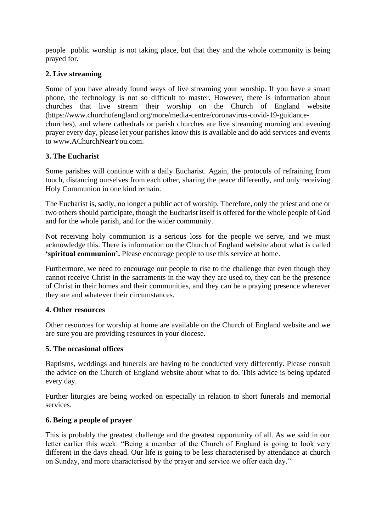people public worship is not taking place, but that they and the whole community is being prayed for.

# **2. Live streaming**

Some of you have already found ways of live streaming your worship. If you have a smart phone, the technology is not so difficult to master. However, there is information about churches that live stream their worship on the Church of England website (https://www.churchofengland.org/more/media-centre/coronavirus-covid-19-guidancechurches), and where cathedrals or parish churches are live streaming morning and evening prayer every day, please let your parishes know this is available and do add services and events to www.AChurchNearYou.com.

## **3. The Eucharist**

Some parishes will continue with a daily Eucharist. Again, the protocols of refraining from touch, distancing ourselves from each other, sharing the peace differently, and only receiving Holy Communion in one kind remain.

The Eucharist is, sadly, no longer a public act of worship. Therefore, only the priest and one or two others should participate, though the Eucharist itself is offered for the whole people of God and for the whole parish, and for the wider community.

Not receiving holy communion is a serious loss for the people we serve, and we must acknowledge this. There is information on the Church of England website about what is called **'spiritual communion'.** Please encourage people to use this service at home.

Furthermore, we need to encourage our people to rise to the challenge that even though they cannot receive Christ in the sacraments in the way they are used to, they can be the presence of Christ in their homes and their communities, and they can be a praying presence wherever they are and whatever their circumstances.

### **4. Other resources**

Other resources for worship at home are available on the Church of England website and we are sure you are providing resources in your diocese.

### **5. The occasional offices**

Baptisms, weddings and funerals are having to be conducted very differently. Please consult the advice on the Church of England website about what to do. This advice is being updated every day.

Further liturgies are being worked on especially in relation to short funerals and memorial services.

### **6. Being a people of prayer**

This is probably the greatest challenge and the greatest opportunity of all. As we said in our letter earlier this week: "Being a member of the Church of England is going to look very different in the days ahead. Our life is going to be less characterised by attendance at church on Sunday, and more characterised by the prayer and service we offer each day."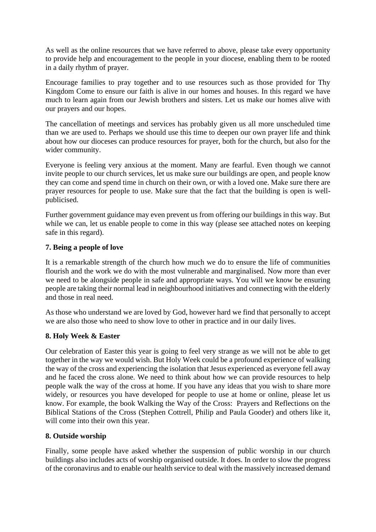As well as the online resources that we have referred to above, please take every opportunity to provide help and encouragement to the people in your diocese, enabling them to be rooted in a daily rhythm of prayer.

Encourage families to pray together and to use resources such as those provided for Thy Kingdom Come to ensure our faith is alive in our homes and houses. In this regard we have much to learn again from our Jewish brothers and sisters. Let us make our homes alive with our prayers and our hopes.

The cancellation of meetings and services has probably given us all more unscheduled time than we are used to. Perhaps we should use this time to deepen our own prayer life and think about how our dioceses can produce resources for prayer, both for the church, but also for the wider community.

Everyone is feeling very anxious at the moment. Many are fearful. Even though we cannot invite people to our church services, let us make sure our buildings are open, and people know they can come and spend time in church on their own, or with a loved one. Make sure there are prayer resources for people to use. Make sure that the fact that the building is open is wellpublicised.

Further government guidance may even prevent us from offering our buildings in this way. But while we can, let us enable people to come in this way (please see attached notes on keeping safe in this regard).

## **7. Being a people of love**

It is a remarkable strength of the church how much we do to ensure the life of communities flourish and the work we do with the most vulnerable and marginalised. Now more than ever we need to be alongside people in safe and appropriate ways. You will we know be ensuring people are taking their normal lead in neighbourhood initiatives and connecting with the elderly and those in real need.

As those who understand we are loved by God, however hard we find that personally to accept we are also those who need to show love to other in practice and in our daily lives.

# **8. Holy Week & Easter**

Our celebration of Easter this year is going to feel very strange as we will not be able to get together in the way we would wish. But Holy Week could be a profound experience of walking the way of the cross and experiencing the isolation that Jesus experienced as everyone fell away and he faced the cross alone. We need to think about how we can provide resources to help people walk the way of the cross at home. If you have any ideas that you wish to share more widely, or resources you have developed for people to use at home or online, please let us know. For example, the book Walking the Way of the Cross: Prayers and Reflections on the Biblical Stations of the Cross (Stephen Cottrell, Philip and Paula Gooder) and others like it, will come into their own this year.

# **8. Outside worship**

Finally, some people have asked whether the suspension of public worship in our church buildings also includes acts of worship organised outside. It does. In order to slow the progress of the coronavirus and to enable our health service to deal with the massively increased demand